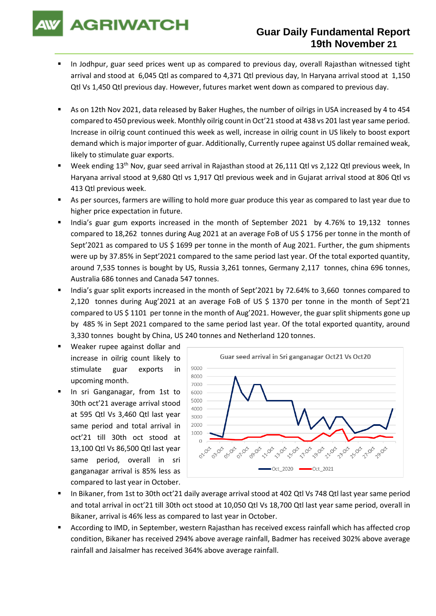**AGRIWATCH** 

# **Guar Daily Fundamental Report 19th November 21**

- In Jodhpur, guar seed prices went up as compared to previous day, overall Rajasthan witnessed tight arrival and stood at 6,045 Qtl as compared to 4,371 Qtl previous day, In Haryana arrival stood at 1,150 Qtl Vs 1,450 Qtl previous day. However, futures market went down as compared to previous day.
- As on 12th Nov 2021, data released by Baker Hughes, the number of oilrigs in USA increased by 4 to 454 compared to 450 previous week. Monthly oilrig count in Oct'21 stood at 438 vs 201 last year same period. Increase in oilrig count continued this week as well, increase in oilrig count in US likely to boost export demand which is major importer of guar. Additionally, Currently rupee against US dollar remained weak, likely to stimulate guar exports.
- Week ending 13<sup>th</sup> Nov, guar seed arrival in Rajasthan stood at 26,111 Qtl vs 2,122 Qtl previous week, In Haryana arrival stood at 9,680 Qtl vs 1,917 Qtl previous week and in Gujarat arrival stood at 806 Qtl vs 413 Qtl previous week.
- As per sources, farmers are willing to hold more guar produce this year as compared to last year due to higher price expectation in future.
- India's guar gum exports increased in the month of September 2021 by 4.76% to 19,132 tonnes compared to 18,262 tonnes during Aug 2021 at an average FoB of US \$ 1756 per tonne in the month of Sept'2021 as compared to US \$ 1699 per tonne in the month of Aug 2021. Further, the gum shipments were up by 37.85% in Sept'2021 compared to the same period last year. Of the total exported quantity, around 7,535 tonnes is bought by US, Russia 3,261 tonnes, Germany 2,117 tonnes, china 696 tonnes, Australia 686 tonnes and Canada 547 tonnes.
- India's guar split exports increased in the month of Sept'2021 by 72.64% to 3,660 tonnes compared to 2,120 tonnes during Aug'2021 at an average FoB of US \$ 1370 per tonne in the month of Sept'21 compared to US \$ 1101 per tonne in the month of Aug'2021. However, the guar split shipments gone up by 485 % in Sept 2021 compared to the same period last year. Of the total exported quantity, around 3,330 tonnes bought by China, US 240 tonnes and Netherland 120 tonnes.
- Weaker rupee against dollar and increase in oilrig count likely to stimulate guar exports in upcoming month.
- In sri Ganganagar, from 1st to 30th oct'21 average arrival stood at 595 Qtl Vs 3,460 Qtl last year same period and total arrival in oct'21 till 30th oct stood at 13,100 Qtl Vs 86,500 Qtl last year same period, overall in sri ganganagar arrival is 85% less as compared to last year in October.



- In Bikaner, from 1st to 30th oct'21 daily average arrival stood at 402 Qtl Vs 748 Qtl last year same period and total arrival in oct'21 till 30th oct stood at 10,050 Qtl Vs 18,700 Qtl last year same period, overall in Bikaner, arrival is 46% less as compared to last year in October.
- According to IMD, in September, western Rajasthan has received excess rainfall which has affected crop condition, Bikaner has received 294% above average rainfall, Badmer has received 302% above average rainfall and Jaisalmer has received 364% above average rainfall.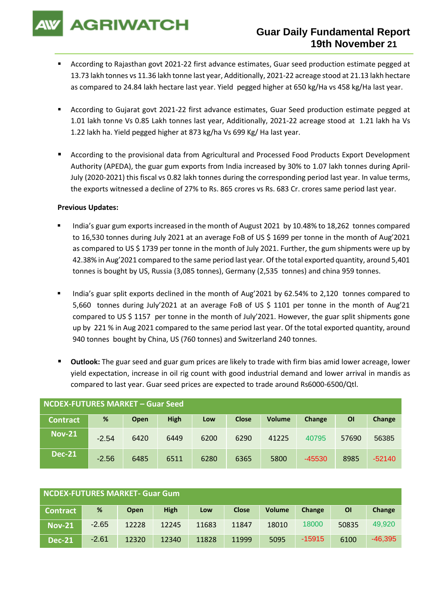**AGRIWATCH** 

# **Guar Daily Fundamental Report 19th November 21**

- According to Rajasthan govt 2021-22 first advance estimates, Guar seed production estimate pegged at 13.73 lakh tonnes vs 11.36 lakh tonne last year, Additionally, 2021-22 acreage stood at 21.13 lakh hectare as compared to 24.84 lakh hectare last year. Yield pegged higher at 650 kg/Ha vs 458 kg/Ha last year.
- According to Gujarat govt 2021-22 first advance estimates, Guar Seed production estimate pegged at 1.01 lakh tonne Vs 0.85 Lakh tonnes last year, Additionally, 2021-22 acreage stood at 1.21 lakh ha Vs 1.22 lakh ha. Yield pegged higher at 873 kg/ha Vs 699 Kg/ Ha last year.
- According to the provisional data from Agricultural and Processed Food Products Export Development Authority (APEDA), the guar gum exports from India increased by 30% to 1.07 lakh tonnes during April-July (2020-2021) this fiscal vs 0.82 lakh tonnes during the corresponding period last year. In value terms, the exports witnessed a decline of 27% to Rs. 865 crores vs Rs. 683 Cr. crores same period last year.

#### **Previous Updates:**

- India's guar gum exports increased in the month of August 2021 by 10.48% to 18,262 tonnes compared to 16,530 tonnes during July 2021 at an average FoB of US \$ 1699 per tonne in the month of Aug'2021 as compared to US \$ 1739 per tonne in the month of July 2021. Further, the gum shipments were up by 42.38% in Aug'2021 compared to the same period last year. Of the total exported quantity, around 5,401 tonnes is bought by US, Russia (3,085 tonnes), Germany (2,535 tonnes) and china 959 tonnes.
- India's guar split exports declined in the month of Aug'2021 by 62.54% to 2,120 tonnes compared to 5,660 tonnes during July'2021 at an average FoB of US \$ 1101 per tonne in the month of Aug'21 compared to US \$ 1157 per tonne in the month of July'2021. However, the guar split shipments gone up by 221 % in Aug 2021 compared to the same period last year. Of the total exported quantity, around 940 tonnes bought by China, US (760 tonnes) and Switzerland 240 tonnes.
- **Outlook:** The guar seed and guar gum prices are likely to trade with firm bias amid lower acreage, lower yield expectation, increase in oil rig count with good industrial demand and lower arrival in mandis as compared to last year. Guar seed prices are expected to trade around Rs6000-6500/Qtl.

| NCDEX-FUTURES MARKET – Guar Seed |         |             |             |      |              |               |          |       |          |
|----------------------------------|---------|-------------|-------------|------|--------------|---------------|----------|-------|----------|
| <b>Contract</b>                  | %       | <b>Open</b> | <b>High</b> | Low  | <b>Close</b> | <b>Volume</b> | Change   | ΟI    | Change   |
| <b>Nov-21</b>                    | $-2.54$ | 6420        | 6449        | 6200 | 6290         | 41225         | 40795    | 57690 | 56385    |
| <b>Dec-21</b>                    | $-2.56$ | 6485        | 6511        | 6280 | 6365         | 5800          | $-45530$ | 8985  | $-52140$ |

| NCDEX-FUTURES MARKET- Guar Gum |         |             |             |       |              |               |          |       |           |
|--------------------------------|---------|-------------|-------------|-------|--------------|---------------|----------|-------|-----------|
| <b>Contract</b>                | %       | <b>Open</b> | <b>High</b> | Low   | <b>Close</b> | <b>Volume</b> | Change   | ΟI    | Change    |
| <b>Nov-21</b>                  | $-2.65$ | 12228       | 12245       | 11683 | 11847        | 18010         | 18000    | 50835 | 49,920    |
| <b>Dec-21</b>                  | $-2.61$ | 12320       | 12340       | 11828 | 11999        | 5095          | $-15915$ | 6100  | $-46,395$ |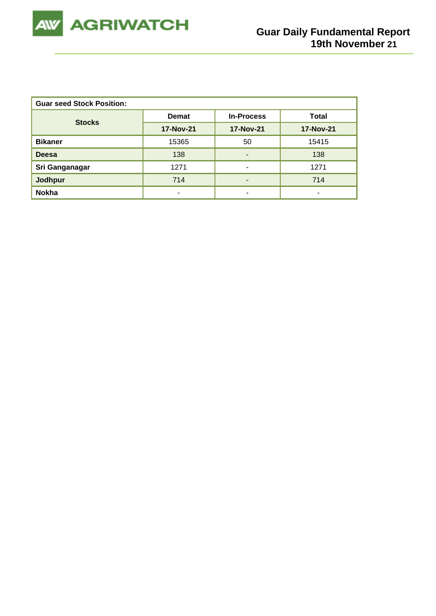

| <b>Guar seed Stock Position:</b> |                  |                          |                  |  |  |  |  |  |
|----------------------------------|------------------|--------------------------|------------------|--|--|--|--|--|
| <b>Stocks</b>                    | <b>Demat</b>     | <b>In-Process</b>        | Total            |  |  |  |  |  |
|                                  | <b>17-Nov-21</b> | <b>17-Nov-21</b>         | <b>17-Nov-21</b> |  |  |  |  |  |
| <b>Bikaner</b>                   | 15365            | 50                       | 15415            |  |  |  |  |  |
| <b>Deesa</b>                     | 138              | $\overline{\phantom{0}}$ | 138              |  |  |  |  |  |
| Sri Ganganagar                   | 1271             | $\overline{\phantom{0}}$ | 1271             |  |  |  |  |  |
| <b>Jodhpur</b>                   | 714              | $\overline{\phantom{0}}$ | 714              |  |  |  |  |  |
| <b>Nokha</b>                     |                  | -                        | -                |  |  |  |  |  |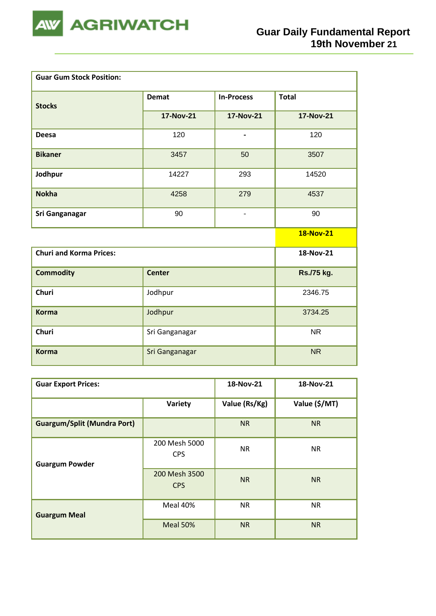

| <b>Guar Gum Stock Position:</b> |                  |                              |                  |
|---------------------------------|------------------|------------------------------|------------------|
| <b>Stocks</b>                   | <b>Demat</b>     | <b>In-Process</b>            | <b>Total</b>     |
|                                 | <b>17-Nov-21</b> | <b>17-Nov-21</b>             | <b>17-Nov-21</b> |
| <b>Deesa</b>                    | 120              | $\qquad \qquad \blacksquare$ | 120              |
| <b>Bikaner</b>                  | 3457             | 50                           | 3507             |
| Jodhpur                         | 14227            | 293                          | 14520            |
| <b>Nokha</b>                    | 4258             | 279                          | 4537             |
| <b>Sri Ganganagar</b>           | 90               | $\overline{a}$               | 90               |
|                                 |                  |                              | <b>18-Nov-21</b> |
| <b>Churi and Korma Prices:</b>  |                  |                              | 18-Nov-21        |
| <b>Commodity</b>                | <b>Center</b>    |                              | Rs./75 kg.       |
| Churi                           | Jodhpur          |                              | 2346.75          |
| <b>Korma</b>                    | Jodhpur          |                              | 3734.25          |
| Churi                           | Sri Ganganagar   |                              | <b>NR</b>        |
| <b>Korma</b>                    | Sri Ganganagar   |                              | <b>NR</b>        |

| <b>Guar Export Prices:</b>         | 18-Nov-21                   | 18-Nov-21     |               |
|------------------------------------|-----------------------------|---------------|---------------|
|                                    | Variety                     | Value (Rs/Kg) | Value (\$/MT) |
| <b>Guargum/Split (Mundra Port)</b> |                             | <b>NR</b>     | <b>NR</b>     |
| <b>Guargum Powder</b>              | 200 Mesh 5000<br><b>CPS</b> | <b>NR</b>     | <b>NR</b>     |
|                                    | 200 Mesh 3500<br><b>CPS</b> | <b>NR</b>     | <b>NR</b>     |
| <b>Guargum Meal</b>                | Meal 40%                    | <b>NR</b>     | <b>NR</b>     |
|                                    | Meal 50%                    | <b>NR</b>     | <b>NR</b>     |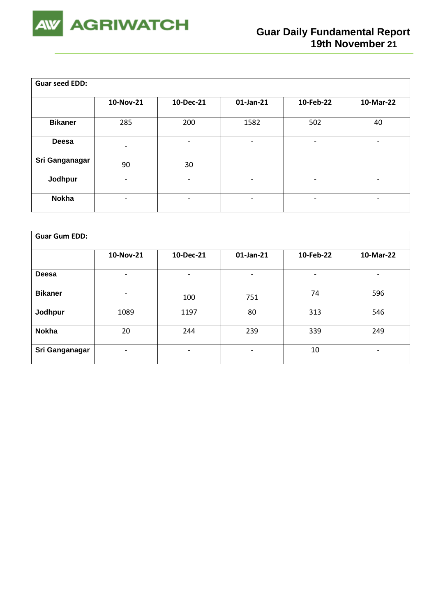

| <b>Guar seed EDD:</b> |                          |                              |                          |           |           |
|-----------------------|--------------------------|------------------------------|--------------------------|-----------|-----------|
|                       | 10-Nov-21                | 10-Dec-21                    | $01$ -Jan-21             | 10-Feb-22 | 10-Mar-22 |
| <b>Bikaner</b>        | 285                      | 200                          | 1582                     | 502       | 40        |
| Deesa                 | $\overline{a}$           | -                            | ٠                        | -         |           |
| Sri Ganganagar        | 90                       | 30                           |                          |           |           |
| Jodhpur               |                          | $\overline{\phantom{0}}$     | $\overline{\phantom{a}}$ | -         | -         |
| <b>Nokha</b>          | $\overline{\phantom{0}}$ | $\qquad \qquad \blacksquare$ | $\overline{\phantom{a}}$ | -         | -         |

| <b>Guar Gum EDD:</b> |                          |           |           |           |           |  |  |  |
|----------------------|--------------------------|-----------|-----------|-----------|-----------|--|--|--|
|                      | 10-Nov-21                | 10-Dec-21 | 01-Jan-21 | 10-Feb-22 | 10-Mar-22 |  |  |  |
| Deesa                | ۰                        | ٠         | -         | -         | -         |  |  |  |
| <b>Bikaner</b>       | ٠                        | 100       | 751       | 74        | 596       |  |  |  |
| Jodhpur              | 1089                     | 1197      | 80        | 313       | 546       |  |  |  |
| <b>Nokha</b>         | 20                       | 244       | 239       | 339       | 249       |  |  |  |
| Sri Ganganagar       | $\overline{\phantom{a}}$ | -         | -         | 10        | -         |  |  |  |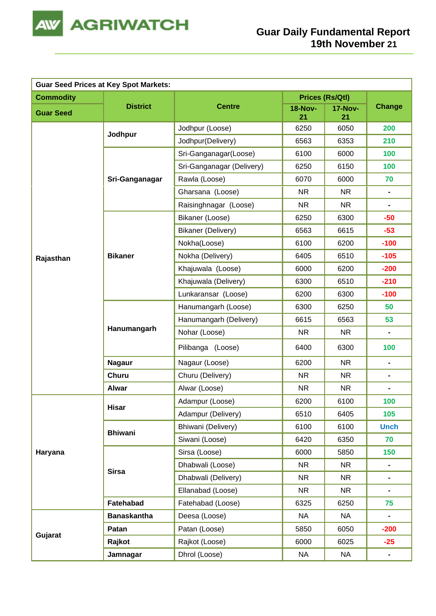

|                  | <b>Guar Seed Prices at Key Spot Markets:</b> |                           |                      |                      |                              |
|------------------|----------------------------------------------|---------------------------|----------------------|----------------------|------------------------------|
| <b>Commodity</b> |                                              |                           | Prices (Rs/Qtl)      |                      |                              |
| <b>Guar Seed</b> | <b>District</b>                              | <b>Centre</b>             | <b>18-Nov-</b><br>21 | <b>17-Nov-</b><br>21 | <b>Change</b>                |
|                  |                                              | Jodhpur (Loose)           | 6250                 | 6050                 | 200                          |
|                  | Jodhpur                                      | Jodhpur(Delivery)         | 6563                 | 6353                 | 210                          |
|                  |                                              | Sri-Ganganagar(Loose)     | 6100                 | 6000                 | 100                          |
|                  |                                              | Sri-Ganganagar (Delivery) | 6250                 | 6150                 | 100                          |
|                  | Sri-Ganganagar                               | Rawla (Loose)             | 6070                 | 6000                 | 70                           |
|                  |                                              | Gharsana (Loose)          | <b>NR</b>            | <b>NR</b>            | $\blacksquare$               |
|                  |                                              | Raisinghnagar (Loose)     | <b>NR</b>            | <b>NR</b>            | $\blacksquare$               |
|                  |                                              | Bikaner (Loose)           | 6250                 | 6300                 | $-50$                        |
|                  |                                              | <b>Bikaner (Delivery)</b> | 6563                 | 6615                 | $-53$                        |
|                  |                                              | Nokha(Loose)              | 6100                 | 6200                 | $-100$                       |
| Rajasthan        | <b>Bikaner</b>                               | Nokha (Delivery)          | 6405                 | 6510                 | $-105$                       |
|                  |                                              | Khajuwala (Loose)         | 6000                 | 6200                 | $-200$                       |
|                  |                                              | Khajuwala (Delivery)      | 6300                 | 6510                 | $-210$                       |
|                  |                                              | Lunkaransar (Loose)       | 6200                 | 6300                 | $-100$                       |
|                  |                                              | Hanumangarh (Loose)       | 6300                 | 6250                 | 50                           |
|                  | Hanumangarh                                  | Hanumangarh (Delivery)    | 6615                 | 6563                 | 53                           |
|                  |                                              | Nohar (Loose)             | <b>NR</b>            | <b>NR</b>            | $\blacksquare$               |
|                  |                                              | Pilibanga (Loose)         | 6400                 | 6300                 | 100                          |
|                  | <b>Nagaur</b>                                | Nagaur (Loose)            | 6200                 | <b>NR</b>            | $\blacksquare$               |
|                  | <b>Churu</b>                                 | Churu (Delivery)          | <b>NR</b>            | <b>NR</b>            | $\blacksquare$               |
|                  | <b>Alwar</b>                                 | Alwar (Loose)             | <b>NR</b>            | <b>NR</b>            | $\qquad \qquad \blacksquare$ |
|                  | <b>Hisar</b>                                 | Adampur (Loose)           | 6200                 | 6100                 | 100                          |
|                  |                                              | Adampur (Delivery)        | 6510                 | 6405                 | 105                          |
|                  | <b>Bhiwani</b>                               | Bhiwani (Delivery)        | 6100                 | 6100                 | <b>Unch</b>                  |
|                  |                                              | Siwani (Loose)            | 6420                 | 6350                 | 70                           |
| Haryana          |                                              | Sirsa (Loose)             | 6000                 | 5850                 | 150                          |
|                  | <b>Sirsa</b>                                 | Dhabwali (Loose)          | <b>NR</b>            | <b>NR</b>            | $\blacksquare$               |
|                  |                                              | Dhabwali (Delivery)       | <b>NR</b>            | <b>NR</b>            | $\blacksquare$               |
|                  |                                              | Ellanabad (Loose)         | <b>NR</b>            | <b>NR</b>            | $\blacksquare$               |
|                  | Fatehabad                                    | Fatehabad (Loose)         | 6325                 | 6250                 | 75                           |
|                  | <b>Banaskantha</b>                           | Deesa (Loose)             | <b>NA</b>            | <b>NA</b>            |                              |
|                  | Patan                                        | Patan (Loose)             | 5850                 | 6050                 | $-200$                       |
| Gujarat          | Rajkot                                       | Rajkot (Loose)            | 6000                 | 6025                 | $-25$                        |
|                  | Jamnagar                                     | Dhrol (Loose)             | <b>NA</b>            | <b>NA</b>            | $\blacksquare$               |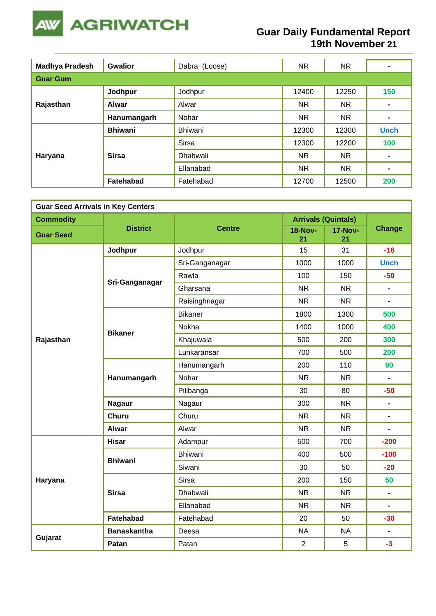

## **Guar Daily Fundamental Report 19th November 21**

| <b>Madhya Pradesh</b> | <b>Gwalior</b> | Dabra (Loose)   |           | NR.       | $\blacksquare$ |  |  |  |  |
|-----------------------|----------------|-----------------|-----------|-----------|----------------|--|--|--|--|
| <b>Guar Gum</b>       |                |                 |           |           |                |  |  |  |  |
| Rajasthan             | Jodhpur        | Jodhpur         | 12400     | 12250     | 150            |  |  |  |  |
|                       | <b>Alwar</b>   | Alwar           | <b>NR</b> | NR.       | $\blacksquare$ |  |  |  |  |
|                       | Hanumangarh    | Nohar           | <b>NR</b> | <b>NR</b> | $\blacksquare$ |  |  |  |  |
|                       | <b>Bhiwani</b> | Bhiwani         | 12300     | 12300     | <b>Unch</b>    |  |  |  |  |
|                       |                | <b>Sirsa</b>    | 12300     | 12200     | 100            |  |  |  |  |
| Haryana               | <b>Sirsa</b>   | <b>Dhabwali</b> | <b>NR</b> | NR.       | $\blacksquare$ |  |  |  |  |
|                       |                | Ellanabad       | <b>NR</b> | NR.       | $\blacksquare$ |  |  |  |  |
|                       | Fatehabad      | Fatehabad       | 12700     | 12500     | 200            |  |  |  |  |

| <b>Guar Seed Arrivals in Key Centers</b> |                    |                |                      |                            |                |  |  |
|------------------------------------------|--------------------|----------------|----------------------|----------------------------|----------------|--|--|
| <b>Commodity</b>                         |                    |                |                      | <b>Arrivals (Quintals)</b> |                |  |  |
| <b>Guar Seed</b>                         | <b>District</b>    | <b>Centre</b>  | <b>18-Nov-</b><br>21 | <b>17-Nov-</b><br>21       | <b>Change</b>  |  |  |
|                                          | Jodhpur            | Jodhpur        | 15                   | 31                         | $-16$          |  |  |
|                                          |                    | Sri-Ganganagar | 1000                 | 1000                       | <b>Unch</b>    |  |  |
|                                          |                    | Rawla          | 100                  | 150                        | $-50$          |  |  |
|                                          | Sri-Ganganagar     | Gharsana       | <b>NR</b>            | <b>NR</b>                  | $\blacksquare$ |  |  |
|                                          |                    | Raisinghnagar  | <b>NR</b>            | <b>NR</b>                  |                |  |  |
|                                          |                    | <b>Bikaner</b> | 1800                 | 1300                       | 500            |  |  |
|                                          | <b>Bikaner</b>     | Nokha          | 1400                 | 1000                       | 400            |  |  |
| Rajasthan                                |                    | Khajuwala      | 500                  | 200                        | 300            |  |  |
|                                          |                    | Lunkaransar    | 700                  | 500                        | 200            |  |  |
|                                          | Hanumangarh        | Hanumangarh    | 200                  | 110                        | 90             |  |  |
|                                          |                    | Nohar          | <b>NR</b>            | <b>NR</b>                  | $\blacksquare$ |  |  |
|                                          |                    | Pilibanga      | 30                   | 80                         | $-50$          |  |  |
|                                          | <b>Nagaur</b>      | Nagaur         | 300                  | <b>NR</b>                  | $\blacksquare$ |  |  |
|                                          | <b>Churu</b>       | Churu          | <b>NR</b>            | <b>NR</b>                  | $\blacksquare$ |  |  |
|                                          | <b>Alwar</b>       | Alwar          | <b>NR</b>            | <b>NR</b>                  | $\blacksquare$ |  |  |
|                                          | <b>Hisar</b>       | Adampur        | 500                  | 700                        | $-200$         |  |  |
|                                          | <b>Bhiwani</b>     | <b>Bhiwani</b> | 400                  | 500                        | $-100$         |  |  |
|                                          |                    | Siwani         | 30                   | 50                         | $-20$          |  |  |
| Haryana                                  |                    | Sirsa          | 200                  | 150                        | 50             |  |  |
|                                          | <b>Sirsa</b>       | Dhabwali       | <b>NR</b>            | <b>NR</b>                  | $\blacksquare$ |  |  |
|                                          |                    | Ellanabad      | <b>NR</b>            | <b>NR</b>                  | $\blacksquare$ |  |  |
|                                          | Fatehabad          | Fatehabad      | 20                   | 50                         | $-30$          |  |  |
|                                          | <b>Banaskantha</b> | Deesa          | <b>NA</b>            | <b>NA</b>                  | $\blacksquare$ |  |  |
| Gujarat                                  | Patan              | Patan          | $\overline{2}$       | 5                          | $-3$           |  |  |